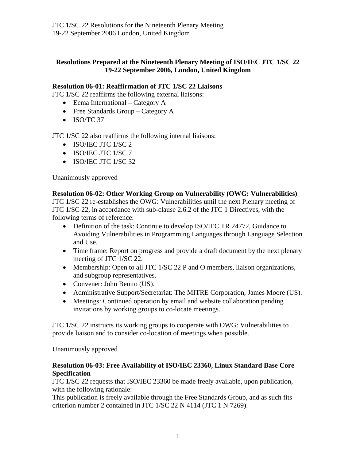## **Resolutions Prepared at the Nineteenth Plenary Meeting of ISO/IEC JTC 1/SC 22 19-22 September 2006, London, United Kingdom**

## **Resolution 06-01: Reaffirmation of JTC 1/SC 22 Liaisons**

JTC 1/SC 22 reaffirms the following external liaisons:

- Ecma International Category A
- Free Standards Group Category A
- ISO/TC 37

JTC 1/SC 22 also reaffirms the following internal liaisons:

- ISO/IEC JTC 1/SC 2
- ISO/IEC JTC 1/SC 7
- ISO/IEC JTC 1/SC 32

Unanimously approved

#### **Resolution 06-02: Other Working Group on Vulnerability (OWG: Vulnerabilities)**

JTC 1/SC 22 re-establishes the OWG: Vulnerabilities until the next Plenary meeting of JTC 1/SC 22, in accordance with sub-clause 2.6.2 of the JTC 1 Directives, with the following terms of reference:

- Definition of the task: Continue to develop ISO/IEC TR 24772, Guidance to Avoiding Vulnerabilities in Programming Languages through Language Selection and Use.
- Time frame: Report on progress and provide a draft document by the next plenary meeting of JTC 1/SC 22.
- Membership: Open to all JTC 1/SC 22 P and O members, liaison organizations, and subgroup representatives.
- Convener: John Benito (US).
- Administrative Support/Secretariat: The MITRE Corporation, James Moore (US).
- Meetings: Continued operation by email and website collaboration pending invitations by working groups to co-locate meetings.

JTC 1/SC 22 instructs its working groups to cooperate with OWG: Vulnerabilities to provide liaison and to consider co-location of meetings when possible.

Unanimously approved

#### **Resolution 06-03: Free Availability of ISO/IEC 23360, Linux Standard Base Core Specification**

JTC 1/SC 22 requests that ISO/IEC 23360 be made freely available, upon publication, with the following rationale:

This publication is freely available through the Free Standards Group, and as such fits criterion number 2 contained in JTC 1/SC 22 N 4114 (JTC 1 N 7269).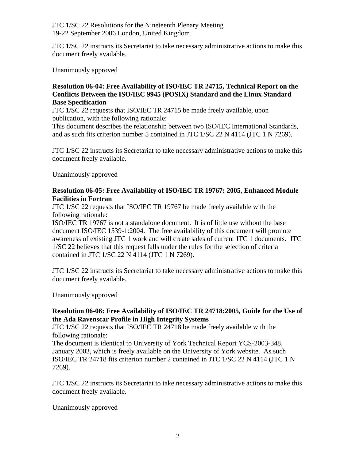JTC 1/SC 22 instructs its Secretariat to take necessary administrative actions to make this document freely available.

Unanimously approved

#### **Resolution 06-04: Free Availability of ISO/IEC TR 24715, Technical Report on the Conflicts Between the ISO/IEC 9945 (POSIX) Standard and the Linux Standard Base Specification**

JTC 1/SC 22 requests that ISO/IEC TR 24715 be made freely available, upon publication, with the following rationale:

This document describes the relationship between two ISO/IEC International Standards, and as such fits criterion number 5 contained in JTC 1/SC 22 N 4114 (JTC 1 N 7269).

JTC 1/SC 22 instructs its Secretariat to take necessary administrative actions to make this document freely available.

Unanimously approved

### **Resolution 06-05: Free Availability of ISO/IEC TR 19767: 2005, Enhanced Module Facilities in Fortran**

JTC 1/SC 22 requests that ISO/IEC TR 19767 be made freely available with the following rationale:

ISO/IEC TR 19767 is not a standalone document. It is of little use without the base document ISO/IEC 1539-1:2004. The free availability of this document will promote awareness of existing JTC 1 work and will create sales of current JTC 1 documents. JTC 1/SC 22 believes that this request falls under the rules for the selection of criteria contained in JTC 1/SC 22 N 4114 (JTC 1 N 7269).

JTC 1/SC 22 instructs its Secretariat to take necessary administrative actions to make this document freely available.

Unanimously approved

## **Resolution 06-06: Free Availability of ISO/IEC TR 24718:2005, Guide for the Use of the Ada Ravenscar Profile in High Integrity Systems**

JTC 1/SC 22 requests that ISO/IEC TR 24718 be made freely available with the following rationale:

The document is identical to University of York Technical Report YCS-2003-348, January 2003, which is freely available on the University of York website. As such ISO/IEC TR 24718 fits criterion number 2 contained in JTC 1/SC 22 N 4114 (JTC 1 N 7269).

JTC 1/SC 22 instructs its Secretariat to take necessary administrative actions to make this document freely available.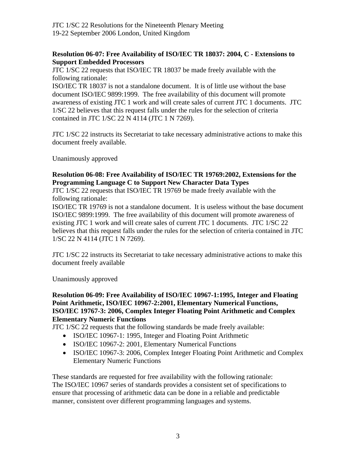## **Resolution 06-07: Free Availability of ISO/IEC TR 18037: 2004, C - Extensions to Support Embedded Processors**

JTC 1/SC 22 requests that ISO/IEC TR 18037 be made freely available with the following rationale:

ISO/IEC TR 18037 is not a standalone document. It is of little use without the base document ISO/IEC 9899:1999. The free availability of this document will promote awareness of existing JTC 1 work and will create sales of current JTC 1 documents. JTC 1/SC 22 believes that this request falls under the rules for the selection of criteria contained in JTC 1/SC 22 N 4114 (JTC 1 N 7269).

JTC 1/SC 22 instructs its Secretariat to take necessary administrative actions to make this document freely available.

Unanimously approved

## **Resolution 06-08: Free Availability of ISO/IEC TR 19769:2002, Extensions for the Programming Language C to Support New Character Data Types**

JTC 1/SC 22 requests that ISO/IEC TR 19769 be made freely available with the following rationale:

ISO/IEC TR 19769 is not a standalone document. It is useless without the base document ISO/IEC 9899:1999. The free availability of this document will promote awareness of existing JTC 1 work and will create sales of current JTC 1 documents. JTC 1/SC 22 believes that this request falls under the rules for the selection of criteria contained in JTC 1/SC 22 N 4114 (JTC 1 N 7269).

JTC 1/SC 22 instructs its Secretariat to take necessary administrative actions to make this document freely available

Unanimously approved

## **Resolution 06-09: Free Availability of ISO/IEC 10967-1:1995, Integer and Floating Point Arithmetic, ISO/IEC 10967-2:2001, Elementary Numerical Functions, ISO/IEC 19767-3: 2006, Complex Integer Floating Point Arithmetic and Complex Elementary Numeric Functions**

JTC 1/SC 22 requests that the following standards be made freely available:

- ISO/IEC 10967-1: 1995, Integer and Floating Point Arithmetic
- ISO/IEC 10967-2: 2001, Elementary Numerical Functions
- ISO/IEC 10967-3: 2006, Complex Integer Floating Point Arithmetic and Complex Elementary Numeric Functions

These standards are requested for free availability with the following rationale: The ISO/IEC 10967 series of standards provides a consistent set of specifications to ensure that processing of arithmetic data can be done in a reliable and predictable manner, consistent over different programming languages and systems.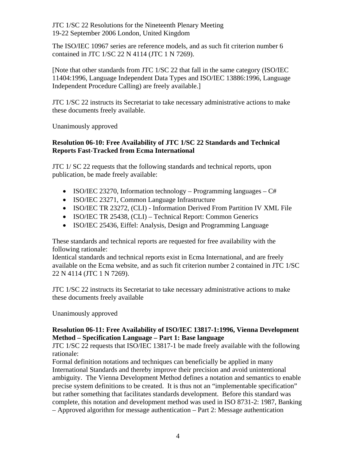The ISO/IEC 10967 series are reference models, and as such fit criterion number 6 contained in JTC 1/SC 22 N 4114 (JTC 1 N 7269).

[Note that other standards from JTC 1/SC 22 that fall in the same category (ISO/IEC 11404:1996, Language Independent Data Types and ISO/IEC 13886:1996, Language Independent Procedure Calling) are freely available.]

JTC 1/SC 22 instructs its Secretariat to take necessary administrative actions to make these documents freely available.

Unanimously approved

## **Resolution 06-10: Free Availability of JTC 1/SC 22 Standards and Technical Reports Fast-Tracked from Ecma International**

JTC 1/ SC 22 requests that the following standards and technical reports, upon publication, be made freely available:

- ISO/IEC 23270, Information technology Programming languages  $C#$
- ISO/IEC 23271, Common Language Infrastructure
- ISO/IEC TR 23272, (CLI) Information Derived From Partition IV XML File
- ISO/IEC TR 25438, (CLI) Technical Report: Common Generics
- ISO/IEC 25436, Eiffel: Analysis, Design and Programming Language

These standards and technical reports are requested for free availability with the following rationale:

Identical standards and technical reports exist in Ecma International, and are freely available on the Ecma website, and as such fit criterion number 2 contained in JTC 1/SC 22 N 4114 (JTC 1 N 7269).

JTC 1/SC 22 instructs its Secretariat to take necessary administrative actions to make these documents freely available

Unanimously approved

## **Resolution 06-11: Free Availability of ISO/IEC 13817-1:1996, Vienna Development Method – Specification Language – Part 1: Base language**

JTC 1/SC 22 requests that ISO/IEC 13817-1 be made freely available with the following rationale:

Formal definition notations and techniques can beneficially be applied in many International Standards and thereby improve their precision and avoid unintentional ambiguity. The Vienna Development Method defines a notation and semantics to enable precise system definitions to be created. It is thus not an "implementable specification" but rather something that facilitates standards development. Before this standard was complete, this notation and development method was used in ISO 8731-2: 1987, Banking – Approved algorithm for message authentication – Part 2: Message authentication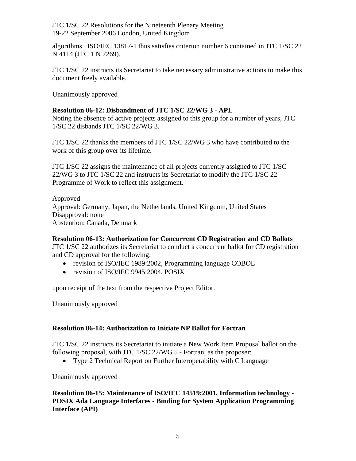algorithms. ISO/IEC 13817-1 thus satisfies criterion number 6 contained in JTC 1/SC 22 N 4114 (JTC 1 N 7269).

JTC 1/SC 22 instructs its Secretariat to take necessary administrative actions to make this document freely available.

Unanimously approved

# **Resolution 06-12: Disbandment of JTC 1/SC 22/WG 3 - APL**

Noting the absence of active projects assigned to this group for a number of years, JTC 1/SC 22 disbands JTC 1/SC 22/WG 3.

JTC 1/SC 22 thanks the members of JTC 1/SC 22/WG 3 who have contributed to the work of this group over its lifetime.

JTC 1/SC 22 assigns the maintenance of all projects currently assigned to JTC 1/SC 22/WG 3 to JTC 1/SC 22 and instructs its Secretariat to modify the JTC 1/SC 22 Programme of Work to reflect this assignment.

Approved Approval: Germany, Japan, the Netherlands, United Kingdom, United States Disapproval: none Abstention: Canada, Denmark

# **Resolution 06-13: Authorization for Concurrent CD Registration and CD Ballots**

JTC 1/SC 22 authorizes its Secretariat to conduct a concurrent ballot for CD registration and CD approval for the following:

- revision of ISO/IEC 1989:2002, Programming language COBOL
- revision of ISO/IEC 9945:2004, POSIX

upon receipt of the text from the respective Project Editor.

Unanimously approved

# **Resolution 06-14: Authorization to Initiate NP Ballot for Fortran**

JTC 1/SC 22 instructs its Secretariat to initiate a New Work Item Proposal ballot on the following proposal, with JTC 1/SC 22/WG 5 - Fortran, as the proposer:

• Type 2 Technical Report on Further Interoperability with C Language

Unanimously approved

**Resolution 06-15: Maintenance of ISO/IEC 14519:2001, Information technology - POSIX Ada Language Interfaces - Binding for System Application Programming Interface (API)**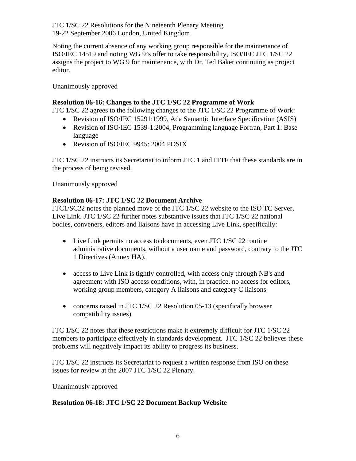Noting the current absence of any working group responsible for the maintenance of ISO/IEC 14519 and noting WG 9's offer to take responsibility, ISO/IEC JTC 1/SC 22 assigns the project to WG 9 for maintenance, with Dr. Ted Baker continuing as project editor.

Unanimously approved

## **Resolution 06-16: Changes to the JTC 1/SC 22 Programme of Work**

JTC 1/SC 22 agrees to the following changes to the JTC 1/SC 22 Programme of Work:

- Revision of ISO/IEC 15291:1999, Ada Semantic Interface Specification (ASIS)
- Revision of ISO/IEC 1539-1:2004, Programming language Fortran, Part 1: Base language
- Revision of ISO/IEC 9945: 2004 POSIX

JTC 1/SC 22 instructs its Secretariat to inform JTC 1 and ITTF that these standards are in the process of being revised.

Unanimously approved

## **Resolution 06-17: JTC 1/SC 22 Document Archive**

JTC1/SC22 notes the planned move of the JTC 1/SC 22 website to the ISO TC Server, Live Link. JTC 1/SC 22 further notes substantive issues that JTC 1/SC 22 national bodies, conveners, editors and liaisons have in accessing Live Link, specifically:

- Live Link permits no access to documents, even JTC 1/SC 22 routine administrative documents, without a user name and password, contrary to the JTC 1 Directives (Annex HA).
- access to Live Link is tightly controlled, with access only through NB's and agreement with ISO access conditions, with, in practice, no access for editors, working group members, category A liaisons and category C liaisons
- concerns raised in JTC 1/SC 22 Resolution 05-13 (specifically browser compatibility issues)

JTC 1/SC 22 notes that these restrictions make it extremely difficult for JTC 1/SC 22 members to participate effectively in standards development. JTC 1/SC 22 believes these problems will negatively impact its ability to progress its business.

JTC 1/SC 22 instructs its Secretariat to request a written response from ISO on these issues for review at the 2007 JTC 1/SC 22 Plenary.

Unanimously approved

# **Resolution 06-18: JTC 1/SC 22 Document Backup Website**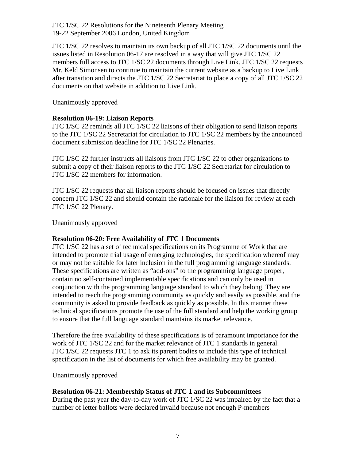JTC 1/SC 22 resolves to maintain its own backup of all JTC 1/SC 22 documents until the issues listed in Resolution 06-17 are resolved in a way that will give JTC 1/SC 22 members full access to JTC 1/SC 22 documents through Live Link. JTC 1/SC 22 requests Mr. Keld Simonsen to continue to maintain the current website as a backup to Live Link after transition and directs the JTC 1/SC 22 Secretariat to place a copy of all JTC 1/SC 22 documents on that website in addition to Live Link.

Unanimously approved

# **Resolution 06-19: Liaison Reports**

JTC 1/SC 22 reminds all JTC 1/SC 22 liaisons of their obligation to send liaison reports to the JTC 1/SC 22 Secretariat for circulation to JTC 1/SC 22 members by the announced document submission deadline for JTC 1/SC 22 Plenaries.

JTC 1/SC 22 further instructs all liaisons from JTC 1/SC 22 to other organizations to submit a copy of their liaison reports to the JTC 1/SC 22 Secretariat for circulation to JTC 1/SC 22 members for information.

JTC 1/SC 22 requests that all liaison reports should be focused on issues that directly concern JTC 1/SC 22 and should contain the rationale for the liaison for review at each JTC 1/SC 22 Plenary.

Unanimously approved

## **Resolution 06-20: Free Availability of JTC 1 Documents**

JTC 1/SC 22 has a set of technical specifications on its Programme of Work that are intended to promote trial usage of emerging technologies, the specification whereof may or may not be suitable for later inclusion in the full programming language standards. These specifications are written as "add-ons" to the programming language proper, contain no self-contained implementable specifications and can only be used in conjunction with the programming language standard to which they belong. They are intended to reach the programming community as quickly and easily as possible, and the community is asked to provide feedback as quickly as possible. In this manner these technical specifications promote the use of the full standard and help the working group to ensure that the full language standard maintains its market relevance.

Therefore the free availability of these specifications is of paramount importance for the work of JTC 1/SC 22 and for the market relevance of JTC 1 standards in general. JTC 1/SC 22 requests JTC 1 to ask its parent bodies to include this type of technical specification in the list of documents for which free availability may be granted.

Unanimously approved

# **Resolution 06-21: Membership Status of JTC 1 and its Subcommittees**

During the past year the day-to-day work of JTC 1/SC 22 was impaired by the fact that a number of letter ballots were declared invalid because not enough P-members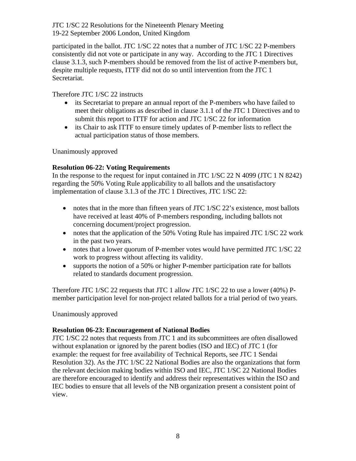participated in the ballot. JTC 1/SC 22 notes that a number of JTC 1/SC 22 P-members consistently did not vote or participate in any way. According to the JTC 1 Directives clause 3.1.3, such P-members should be removed from the list of active P-members but, despite multiple requests, ITTF did not do so until intervention from the JTC 1 Secretariat.

Therefore JTC 1/SC 22 instructs

- its Secretariat to prepare an annual report of the P-members who have failed to meet their obligations as described in clause 3.1.1 of the JTC 1 Directives and to submit this report to ITTF for action and JTC 1/SC 22 for information
- its Chair to ask ITTF to ensure timely updates of P-member lists to reflect the actual participation status of those members.

Unanimously approved

# **Resolution 06-22: Voting Requirements**

In the response to the request for input contained in JTC 1/SC 22 N 4099 (JTC 1 N 8242) regarding the 50% Voting Rule applicability to all ballots and the unsatisfactory implementation of clause 3.1.3 of the JTC 1 Directives, JTC 1/SC 22:

- notes that in the more than fifteen years of JTC 1/SC 22's existence, most ballots have received at least 40% of P-members responding, including ballots not concerning document/project progression.
- notes that the application of the 50% Voting Rule has impaired JTC 1/SC 22 work in the past two years.
- notes that a lower quorum of P-member votes would have permitted JTC 1/SC 22 work to progress without affecting its validity.
- supports the notion of a 50% or higher P-member participation rate for ballots related to standards document progression.

Therefore JTC 1/SC 22 requests that JTC 1 allow JTC 1/SC 22 to use a lower (40%) Pmember participation level for non-project related ballots for a trial period of two years.

Unanimously approved

# **Resolution 06-23: Encouragement of National Bodies**

JTC 1/SC 22 notes that requests from JTC 1 and its subcommittees are often disallowed without explanation or ignored by the parent bodies (ISO and IEC) of JTC 1 (for example: the request for free availability of Technical Reports, see JTC 1 Sendai Resolution 32). As the JTC 1/SC 22 National Bodies are also the organizations that form the relevant decision making bodies within ISO and IEC, JTC 1/SC 22 National Bodies are therefore encouraged to identify and address their representatives within the ISO and IEC bodies to ensure that all levels of the NB organization present a consistent point of view.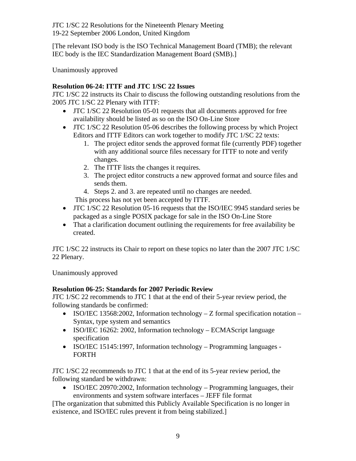[The relevant ISO body is the ISO Technical Management Board (TMB); the relevant IEC body is the IEC Standardization Management Board (SMB).]

Unanimously approved

# **Resolution 06-24: ITTF and JTC 1/SC 22 Issues**

JTC 1/SC 22 instructs its Chair to discuss the following outstanding resolutions from the 2005 JTC 1/SC 22 Plenary with ITTF:

- JTC 1/SC 22 Resolution 05-01 requests that all documents approved for free availability should be listed as so on the ISO On-Line Store
- JTC 1/SC 22 Resolution 05-06 describes the following process by which Project Editors and ITTF Editors can work together to modify JTC 1/SC 22 texts:
	- 1. The project editor sends the approved format file (currently PDF) together with any additional source files necessary for ITTF to note and verify changes.
	- 2. The ITTF lists the changes it requires.
	- 3. The project editor constructs a new approved format and source files and sends them.
	- 4. Steps 2. and 3. are repeated until no changes are needed.
	- This process has not yet been accepted by ITTF.
- JTC 1/SC 22 Resolution 05-16 requests that the ISO/IEC 9945 standard series be packaged as a single POSIX package for sale in the ISO On-Line Store
- That a clarification document outlining the requirements for free availability be created.

JTC 1/SC 22 instructs its Chair to report on these topics no later than the 2007 JTC 1/SC 22 Plenary.

Unanimously approved

# **Resolution 06-25: Standards for 2007 Periodic Review**

JTC 1/SC 22 recommends to JTC 1 that at the end of their 5-year review period, the following standards be confirmed:

- ISO/IEC 13568:2002, Information technology Z formal specification notation Syntax, type system and semantics
- ISO/IEC 16262: 2002, Information technology ECMAScript language specification
- ISO/IEC 15145:1997, Information technology Programming languages FORTH

JTC 1/SC 22 recommends to JTC 1 that at the end of its 5-year review period, the following standard be withdrawn:

• ISO/IEC 20970:2002, Information technology – Programming languages, their environments and system software interfaces – JEFF file format

[The organization that submitted this Publicly Available Specification is no longer in existence, and ISO/IEC rules prevent it from being stabilized.]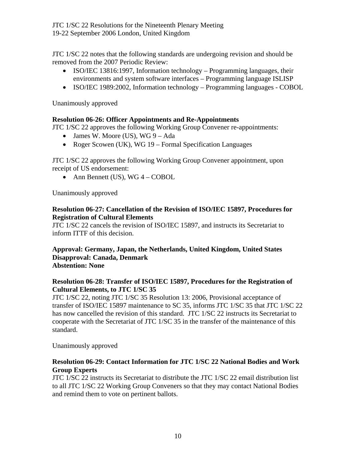JTC 1/SC 22 notes that the following standards are undergoing revision and should be removed from the 2007 Periodic Review:

- ISO/IEC 13816:1997, Information technology Programming languages, their environments and system software interfaces – Programming language ISLISP
- ISO/IEC 1989:2002, Information technology Programming languages COBOL

Unanimously approved

### **Resolution 06-26: Officer Appointments and Re-Appointments**

JTC 1/SC 22 approves the following Working Group Convener re-appointments:

- James W. Moore (US), WG 9 Ada
- Roger Scowen (UK), WG 19 Formal Specification Languages

JTC 1/SC 22 approves the following Working Group Convener appointment, upon receipt of US endorsement:

• Ann Bennett (US), WG  $4 - \text{COBOL}$ 

Unanimously approved

#### **Resolution 06-27: Cancellation of the Revision of ISO/IEC 15897, Procedures for Registration of Cultural Elements**

JTC 1/SC 22 cancels the revision of ISO/IEC 15897, and instructs its Secretariat to inform ITTF of this decision.

#### **Approval: Germany, Japan, the Netherlands, United Kingdom, United States Disapproval: Canada, Denmark Abstention: None**

## **Resolution 06-28: Transfer of ISO/IEC 15897, Procedures for the Registration of Cultural Elements, to JTC 1/SC 35**

JTC 1/SC 22, noting JTC 1/SC 35 Resolution 13: 2006, Provisional acceptance of transfer of ISO/IEC 15897 maintenance to SC 35, informs JTC 1/SC 35 that JTC 1/SC 22 has now cancelled the revision of this standard. JTC 1/SC 22 instructs its Secretariat to cooperate with the Secretariat of JTC 1/SC 35 in the transfer of the maintenance of this standard.

Unanimously approved

## **Resolution 06-29: Contact Information for JTC 1/SC 22 National Bodies and Work Group Experts**

JTC 1/SC 22 instructs its Secretariat to distribute the JTC 1/SC 22 email distribution list to all JTC 1/SC 22 Working Group Conveners so that they may contact National Bodies and remind them to vote on pertinent ballots.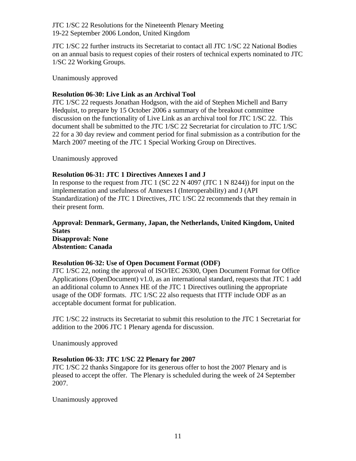JTC 1/SC 22 further instructs its Secretariat to contact all JTC 1/SC 22 National Bodies on an annual basis to request copies of their rosters of technical experts nominated to JTC 1/SC 22 Working Groups.

Unanimously approved

## **Resolution 06-30: Live Link as an Archival Tool**

JTC 1/SC 22 requests Jonathan Hodgson, with the aid of Stephen Michell and Barry Hedquist, to prepare by 15 October 2006 a summary of the breakout committee discussion on the functionality of Live Link as an archival tool for JTC 1/SC 22. This document shall be submitted to the JTC 1/SC 22 Secretariat for circulation to JTC 1/SC 22 for a 30 day review and comment period for final submission as a contribution for the March 2007 meeting of the JTC 1 Special Working Group on Directives.

Unanimously approved

## **Resolution 06-31: JTC 1 Directives Annexes I and J**

In response to the request from JTC 1 (SC 22 N 4097 (JTC 1 N 8244)) for input on the implementation and usefulness of Annexes I (Interoperability) and J (API Standardization) of the JTC 1 Directives, JTC 1/SC 22 recommends that they remain in their present form.

# **Approval: Denmark, Germany, Japan, the Netherlands, United Kingdom, United States Disapproval: None Abstention: Canada**

## **Resolution 06-32: Use of Open Document Format (ODF)**

JTC 1/SC 22, noting the approval of ISO/IEC 26300, Open Document Format for Office Applications (OpenDocument) v1.0, as an international standard, requests that JTC 1 add an additional column to Annex HE of the JTC 1 Directives outlining the appropriate usage of the ODF formats. JTC 1/SC 22 also requests that ITTF include ODF as an acceptable document format for publication.

JTC 1/SC 22 instructs its Secretariat to submit this resolution to the JTC 1 Secretariat for addition to the 2006 JTC 1 Plenary agenda for discussion.

Unanimously approved

# **Resolution 06-33: JTC 1/SC 22 Plenary for 2007**

JTC 1/SC 22 thanks Singapore for its generous offer to host the 2007 Plenary and is pleased to accept the offer. The Plenary is scheduled during the week of 24 September 2007.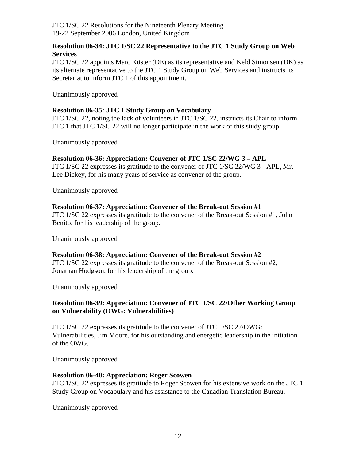### **Resolution 06-34: JTC 1/SC 22 Representative to the JTC 1 Study Group on Web Services**

JTC 1/SC 22 appoints Marc Küster (DE) as its representative and Keld Simonsen (DK) as its alternate representative to the JTC 1 Study Group on Web Services and instructs its Secretariat to inform JTC 1 of this appointment.

Unanimously approved

### **Resolution 06-35: JTC 1 Study Group on Vocabulary**

JTC 1/SC 22, noting the lack of volunteers in JTC 1/SC 22, instructs its Chair to inform JTC 1 that JTC 1/SC 22 will no longer participate in the work of this study group.

Unanimously approved

#### **Resolution 06-36: Appreciation: Convener of JTC 1/SC 22/WG 3 – APL**

JTC 1/SC 22 expresses its gratitude to the convener of JTC 1/SC 22/WG 3 - APL, Mr. Lee Dickey, for his many years of service as convener of the group.

Unanimously approved

#### **Resolution 06-37: Appreciation: Convener of the Break-out Session #1**

JTC 1/SC 22 expresses its gratitude to the convener of the Break-out Session #1, John Benito, for his leadership of the group.

Unanimously approved

#### **Resolution 06-38: Appreciation: Convener of the Break-out Session #2**

JTC 1/SC 22 expresses its gratitude to the convener of the Break-out Session #2, Jonathan Hodgson, for his leadership of the group.

Unanimously approved

#### **Resolution 06-39: Appreciation: Convener of JTC 1/SC 22/Other Working Group on Vulnerability (OWG: Vulnerabilities)**

JTC 1/SC 22 expresses its gratitude to the convener of JTC 1/SC 22/OWG: Vulnerabilities, Jim Moore, for his outstanding and energetic leadership in the initiation of the OWG.

Unanimously approved

#### **Resolution 06-40: Appreciation: Roger Scowen**

JTC 1/SC 22 expresses its gratitude to Roger Scowen for his extensive work on the JTC 1 Study Group on Vocabulary and his assistance to the Canadian Translation Bureau.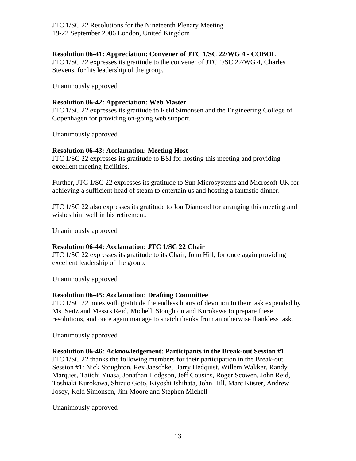#### **Resolution 06-41: Appreciation: Convener of JTC 1/SC 22/WG 4 - COBOL**

JTC 1/SC 22 expresses its gratitude to the convener of JTC 1/SC 22/WG 4, Charles Stevens, for his leadership of the group.

Unanimously approved

#### **Resolution 06-42: Appreciation: Web Master**

JTC 1/SC 22 expresses its gratitude to Keld Simonsen and the Engineering College of Copenhagen for providing on-going web support.

Unanimously approved

#### **Resolution 06-43: Acclamation: Meeting Host**

JTC 1/SC 22 expresses its gratitude to BSI for hosting this meeting and providing excellent meeting facilities.

Further, JTC 1/SC 22 expresses its gratitude to Sun Microsystems and Microsoft UK for achieving a sufficient head of steam to entertain us and hosting a fantastic dinner.

JTC 1/SC 22 also expresses its gratitude to Jon Diamond for arranging this meeting and wishes him well in his retirement.

Unanimously approved

## **Resolution 06-44: Acclamation: JTC 1/SC 22 Chair**

JTC 1/SC 22 expresses its gratitude to its Chair, John Hill, for once again providing excellent leadership of the group.

Unanimously approved

#### **Resolution 06-45: Acclamation: Drafting Committee**

JTC 1/SC 22 notes with gratitude the endless hours of devotion to their task expended by Ms. Seitz and Messrs Reid, Michell, Stoughton and Kurokawa to prepare these resolutions, and once again manage to snatch thanks from an otherwise thankless task.

Unanimously approved

## **Resolution 06-46: Acknowledgement: Participants in the Break-out Session #1**

JTC 1/SC 22 thanks the following members for their participation in the Break-out Session #1: Nick Stoughton, Rex Jaeschke, Barry Hedquist, Willem Wakker, Randy Marques, Taiichi Yuasa, Jonathan Hodgson, Jeff Cousins, Roger Scowen, John Reid, Toshiaki Kurokawa, Shizuo Goto, Kiyoshi Ishihata, John Hill, Marc Küster, Andrew Josey, Keld Simonsen, Jim Moore and Stephen Michell